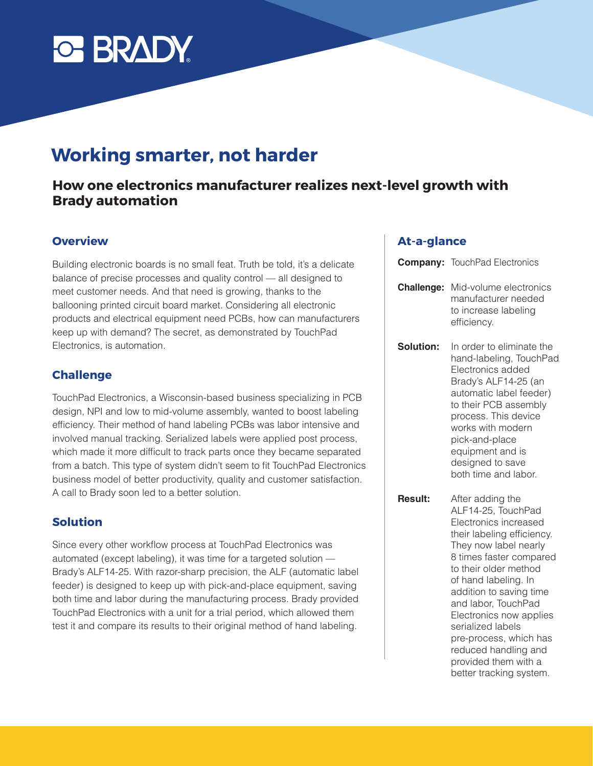

# **Working smarter, not harder**

# **How one electronics manufacturer realizes next-level growth with Brady automation**

# **Overview**

Building electronic boards is no small feat. Truth be told, it's a delicate balance of precise processes and quality control — all designed to meet customer needs. And that need is growing, thanks to the ballooning printed circuit board market. Considering all electronic products and electrical equipment need PCBs, how can manufacturers keep up with demand? The secret, as demonstrated by TouchPad Electronics, is automation.

#### **Challenge**

TouchPad Electronics, a Wisconsin-based business specializing in PCB design, NPI and low to mid-volume assembly, wanted to boost labeling efficiency. Their method of hand labeling PCBs was labor intensive and involved manual tracking. Serialized labels were applied post process, which made it more difficult to track parts once they became separated from a batch. This type of system didn't seem to fit TouchPad Electronics business model of better productivity, quality and customer satisfaction. A call to Brady soon led to a better solution.

### **Solution**

Since every other workflow process at TouchPad Electronics was automated (except labeling), it was time for a targeted solution — Brady's ALF14-25. With razor-sharp precision, the ALF (automatic label feeder) is designed to keep up with pick-and-place equipment, saving both time and labor during the manufacturing process. Brady provided TouchPad Electronics with a unit for a trial period, which allowed them test it and compare its results to their original method of hand labeling.

#### **At-a-glance**

|                   | <b>Company: TouchPad Electronics</b>                                                                                                                                                                                                                                                                                                                   |
|-------------------|--------------------------------------------------------------------------------------------------------------------------------------------------------------------------------------------------------------------------------------------------------------------------------------------------------------------------------------------------------|
| <b>Challenge:</b> | Mid-volume electronics<br>manufacturer needed<br>to increase labeling<br>efficiency.                                                                                                                                                                                                                                                                   |
| Solution:         | In order to eliminate the<br>hand-labeling, TouchPad<br>Electronics added<br>Brady's ALF14-25 (an<br>automatic label feeder)<br>to their PCB assembly<br>process. This device<br>works with modern<br>pick-and-place<br>equipment and is<br>designed to save<br>both time and labor.                                                                   |
| <b>Result:</b>    | After adding the<br>ALF14-25, TouchPad<br>Electronics increased<br>their labeling efficiency.<br>They now label nearly<br>8 times faster compared<br>to their older method<br>of hand labeling. In<br>addition to saving time<br>and labor, TouchPad<br>Electronics now applies<br>serialized labels<br>pre-process, which has<br>reduced handling and |

provided them with a better tracking system.